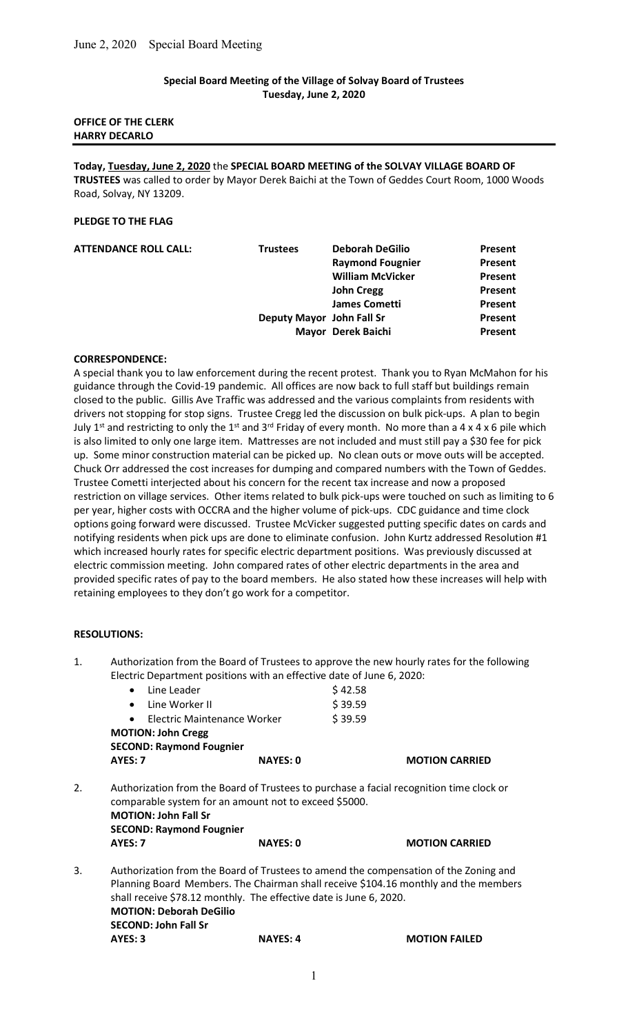## Special Board Meeting of the Village of Solvay Board of Trustees Tuesday, June 2, 2020

## OFFICE OF THE CLERK HARRY DECARLO

Today, Tuesday, June 2, 2020 the SPECIAL BOARD MEETING of the SOLVAY VILLAGE BOARD OF TRUSTEES was called to order by Mayor Derek Baichi at the Town of Geddes Court Room, 1000 Woods Road, Solvay, NY 13209.

## PLEDGE TO THE FLAG

| <b>Trustees</b> | <b>Deborah DeGilio</b>  | Present                                         |
|-----------------|-------------------------|-------------------------------------------------|
|                 | <b>Raymond Fougnier</b> | Present                                         |
|                 | <b>William McVicker</b> | Present                                         |
|                 | <b>John Cregg</b>       | Present                                         |
|                 | <b>James Cometti</b>    | Present                                         |
|                 |                         | Present                                         |
|                 |                         | Present                                         |
|                 |                         | Deputy Mayor John Fall Sr<br>Mayor Derek Baichi |

## CORRESPONDENCE:

A special thank you to law enforcement during the recent protest. Thank you to Ryan McMahon for his guidance through the Covid-19 pandemic. All offices are now back to full staff but buildings remain closed to the public. Gillis Ave Traffic was addressed and the various complaints from residents with drivers not stopping for stop signs. Trustee Cregg led the discussion on bulk pick-ups. A plan to begin July 1<sup>st</sup> and restricting to only the 1<sup>st</sup> and 3<sup>rd</sup> Friday of every month. No more than a 4 x 4 x 6 pile which is also limited to only one large item. Mattresses are not included and must still pay a \$30 fee for pick up. Some minor construction material can be picked up. No clean outs or move outs will be accepted. Chuck Orr addressed the cost increases for dumping and compared numbers with the Town of Geddes. Trustee Cometti interjected about his concern for the recent tax increase and now a proposed restriction on village services. Other items related to bulk pick-ups were touched on such as limiting to 6 per year, higher costs with OCCRA and the higher volume of pick-ups. CDC guidance and time clock options going forward were discussed. Trustee McVicker suggested putting specific dates on cards and notifying residents when pick ups are done to eliminate confusion. John Kurtz addressed Resolution #1 which increased hourly rates for specific electric department positions. Was previously discussed at electric commission meeting. John compared rates of other electric departments in the area and provided specific rates of pay to the board members. He also stated how these increases will help with retaining employees to they don't go work for a competitor.

## RESOLUTIONS:

1. Authorization from the Board of Trustees to approve the new hourly rates for the following Electric Department positions with an effective date of June 6, 2020:

|    | <b>SECOND: John Fall Sr</b><br>AYES: 3                                                                                  | <b>NAYES: 4</b> | <b>MOTION FAILED</b>                                                                                                                                                        |
|----|-------------------------------------------------------------------------------------------------------------------------|-----------------|-----------------------------------------------------------------------------------------------------------------------------------------------------------------------------|
|    | <b>MOTION: Deborah DeGilio</b>                                                                                          |                 |                                                                                                                                                                             |
|    | shall receive \$78.12 monthly. The effective date is June 6, 2020.                                                      |                 |                                                                                                                                                                             |
| 3. |                                                                                                                         |                 | Authorization from the Board of Trustees to amend the compensation of the Zoning and<br>Planning Board Members. The Chairman shall receive \$104.16 monthly and the members |
|    | <b>AYES: 7</b>                                                                                                          | <b>NAYES: 0</b> | <b>MOTION CARRIED</b>                                                                                                                                                       |
|    | comparable system for an amount not to exceed \$5000.<br><b>MOTION: John Fall Sr</b><br><b>SECOND: Raymond Fougnier</b> |                 |                                                                                                                                                                             |
| 2. |                                                                                                                         |                 | Authorization from the Board of Trustees to purchase a facial recognition time clock or                                                                                     |
|    | AYES: 7                                                                                                                 | <b>NAYES: 0</b> | <b>MOTION CARRIED</b>                                                                                                                                                       |
|    | <b>MOTION: John Cregg</b><br><b>SECOND: Raymond Fougnier</b>                                                            |                 |                                                                                                                                                                             |
|    | Electric Maintenance Worker<br>$\bullet$                                                                                |                 | \$39.59                                                                                                                                                                     |
|    | Line Worker II<br>$\bullet$                                                                                             |                 | \$39.59                                                                                                                                                                     |
|    | • Line Leader                                                                                                           |                 | \$42.58                                                                                                                                                                     |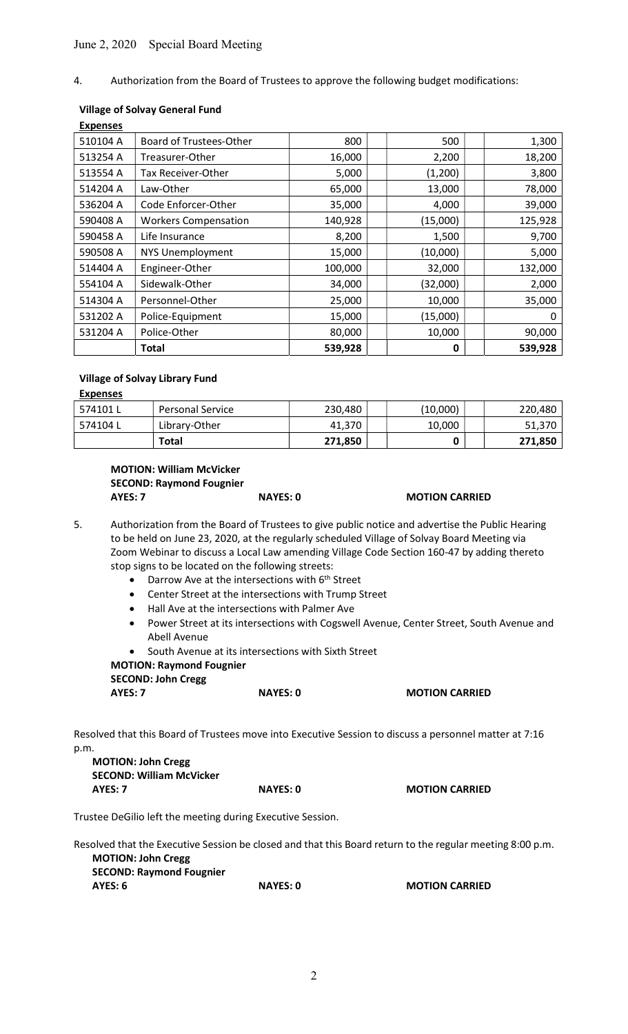## June 2, 2020 Special Board Meeting

## 4. Authorization from the Board of Trustees to approve the following budget modifications:

## Village of Solvay General Fund

| <b>Expenses</b> |                                |         |          |         |
|-----------------|--------------------------------|---------|----------|---------|
| 510104 A        | <b>Board of Trustees-Other</b> | 800     | 500      | 1,300   |
| 513254 A        | Treasurer-Other                | 16,000  | 2,200    | 18,200  |
| 513554 A        | Tax Receiver-Other             | 5,000   | (1,200)  | 3,800   |
| 514204 A        | Law-Other                      | 65,000  | 13,000   | 78,000  |
| 536204 A        | Code Enforcer-Other            | 35,000  | 4,000    | 39,000  |
| 590408 A        | <b>Workers Compensation</b>    | 140,928 | (15,000) | 125,928 |
| 590458 A        | Life Insurance                 | 8,200   | 1,500    | 9,700   |
| 590508 A        | <b>NYS Unemployment</b>        | 15,000  | (10,000) | 5,000   |
| 514404 A        | Engineer-Other                 | 100,000 | 32,000   | 132,000 |
| 554104 A        | Sidewalk-Other                 | 34,000  | (32,000) | 2,000   |
| 514304 A        | Personnel-Other                | 25,000  | 10,000   | 35,000  |
| 531202 A        | Police-Equipment               | 15,000  | (15,000) | 0       |
| 531204 A        | Police-Other                   | 80,000  | 10,000   | 90,000  |
|                 | Total                          | 539,928 | 0        | 539,928 |

#### Village of Solvay Library Fund

| <b>Expenses</b> |                         |         |          |         |
|-----------------|-------------------------|---------|----------|---------|
| 574101L         | <b>Personal Service</b> | 230,480 | (10,000) | 220,480 |
| 574104L         | Library-Other           | 41.370  | 10,000   | 51,370  |
|                 | <b>Total</b>            | 271,850 |          | 271,850 |

# MOTION: William McVicker SECOND: Raymond Fougnier AYES: 7 NAYES: 0 MOTION CARRIED

5. Authorization from the Board of Trustees to give public notice and advertise the Public Hearing to be held on June 23, 2020, at the regularly scheduled Village of Solvay Board Meeting via Zoom Webinar to discuss a Local Law amending Village Code Section 160-47 by adding thereto stop signs to be located on the following streets:

- $\bullet$  Darrow Ave at the intersections with  $6<sup>th</sup>$  Street
- Center Street at the intersections with Trump Street
- Hall Ave at the intersections with Palmer Ave
- Power Street at its intersections with Cogswell Avenue, Center Street, South Avenue and Abell Avenue
- South Avenue at its intersections with Sixth Street

### MOTION: Raymond Fougnier SECOND: John Cregg

|         | ---             |                       |
|---------|-----------------|-----------------------|
| AYES: 7 | <b>NAYES: 0</b> | <b>MOTION CARRIED</b> |
|         |                 |                       |

Resolved that this Board of Trustees move into Executive Session to discuss a personnel matter at 7:16 p.m.

| <b>MOTION: John Cregg</b>       |                 |                       |
|---------------------------------|-----------------|-----------------------|
| <b>SECOND: William McVicker</b> |                 |                       |
| AYES: 7                         | <b>NAYES: 0</b> | <b>MOTION CARRIED</b> |

Trustee DeGilio left the meeting during Executive Session.

Resolved that the Executive Session be closed and that this Board return to the regular meeting 8:00 p.m. MOTION: John Cregg SECOND: Raymond Fougnier **MOTION CARRIED** 

| AYES: 6 | <b>NAYES: 0</b> |
|---------|-----------------|
|---------|-----------------|